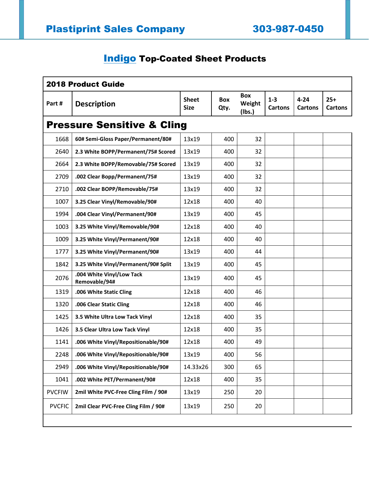## **Indigo** Top-Coated Sheet Products

| <b>2018 Product Guide</b>             |                                            |                             |                    |                                |                           |                            |                         |  |  |  |  |  |
|---------------------------------------|--------------------------------------------|-----------------------------|--------------------|--------------------------------|---------------------------|----------------------------|-------------------------|--|--|--|--|--|
| Part#                                 | <b>Description</b>                         | <b>Sheet</b><br><b>Size</b> | <b>Box</b><br>Qty. | <b>Box</b><br>Weight<br>(Ibs.) | $1 - 3$<br><b>Cartons</b> | $4 - 24$<br><b>Cartons</b> | $25+$<br><b>Cartons</b> |  |  |  |  |  |
| <b>Pressure Sensitive &amp; Cling</b> |                                            |                             |                    |                                |                           |                            |                         |  |  |  |  |  |
| 1668                                  | 60# Semi-Gloss Paper/Permanent/80#         | 13x19                       | 400                | 32                             |                           |                            |                         |  |  |  |  |  |
| 2640                                  | 2.3 White BOPP/Permanent/75# Scored        | 13x19                       | 400                | 32                             |                           |                            |                         |  |  |  |  |  |
| 2664                                  | 2.3 White BOPP/Removable/75# Scored        | 13x19                       | 400                | 32                             |                           |                            |                         |  |  |  |  |  |
| 2709                                  | .002 Clear Bopp/Permanent/75#              | 13x19                       | 400                | 32                             |                           |                            |                         |  |  |  |  |  |
| 2710                                  | .002 Clear BOPP/Removable/75#              | 13x19                       | 400                | 32                             |                           |                            |                         |  |  |  |  |  |
| 1007                                  | 3.25 Clear Vinyl/Removable/90#             | 12x18                       | 400                | 40                             |                           |                            |                         |  |  |  |  |  |
| 1994                                  | .004 Clear Vinyl/Permanent/90#             | 13x19                       | 400                | 45                             |                           |                            |                         |  |  |  |  |  |
| 1003                                  | 3.25 White Vinyl/Removable/90#             | 12x18                       | 400                | 40                             |                           |                            |                         |  |  |  |  |  |
| 1009                                  | 3.25 White Vinyl/Permanent/90#             | 12x18                       | 400                | 40                             |                           |                            |                         |  |  |  |  |  |
| 1777                                  | 3.25 White Vinyl/Permanent/90#             | 13x19                       | 400                | 44                             |                           |                            |                         |  |  |  |  |  |
| 1842                                  | 3.25 White Vinyl/Permanent/90# Split       | 13x19                       | 400                | 45                             |                           |                            |                         |  |  |  |  |  |
| 2076                                  | .004 White Vinyl/Low Tack<br>Removable/94# | 13x19                       | 400                | 45                             |                           |                            |                         |  |  |  |  |  |
| 1319                                  | .006 White Static Cling                    | 12x18                       | 400                | 46                             |                           |                            |                         |  |  |  |  |  |
| 1320                                  | .006 Clear Static Cling                    | 12x18                       | 400                | 46                             |                           |                            |                         |  |  |  |  |  |
| 1425                                  | 3.5 White Ultra Low Tack Vinyl             | 12x18                       | 400                | 35                             |                           |                            |                         |  |  |  |  |  |
| 1426                                  | 3.5 Clear Ultra Low Tack Vinyl             | 12x18                       | 400                | 35                             |                           |                            |                         |  |  |  |  |  |
| 1141                                  | .006 White Vinyl/Repositionable/90#        | 12x18                       | 400                | 49                             |                           |                            |                         |  |  |  |  |  |
| 2248                                  | .006 White Vinyl/Repositionable/90#        | 13x19                       | 400                | 56                             |                           |                            |                         |  |  |  |  |  |
| 2949                                  | .006 White Vinyl/Repositionable/90#        | 14.33x26                    | 300                | 65                             |                           |                            |                         |  |  |  |  |  |
| 1041                                  | .002 White PET/Permanent/90#               | 12x18                       | 400                | 35                             |                           |                            |                         |  |  |  |  |  |
| <b>PVCFIW</b>                         | 2mil White PVC-Free Cling Film / 90#       | 13x19                       | 250                | 20                             |                           |                            |                         |  |  |  |  |  |
| <b>PVCFIC</b>                         | 2mil Clear PVC-Free Cling Film / 90#       | 13x19                       | 250                | 20                             |                           |                            |                         |  |  |  |  |  |